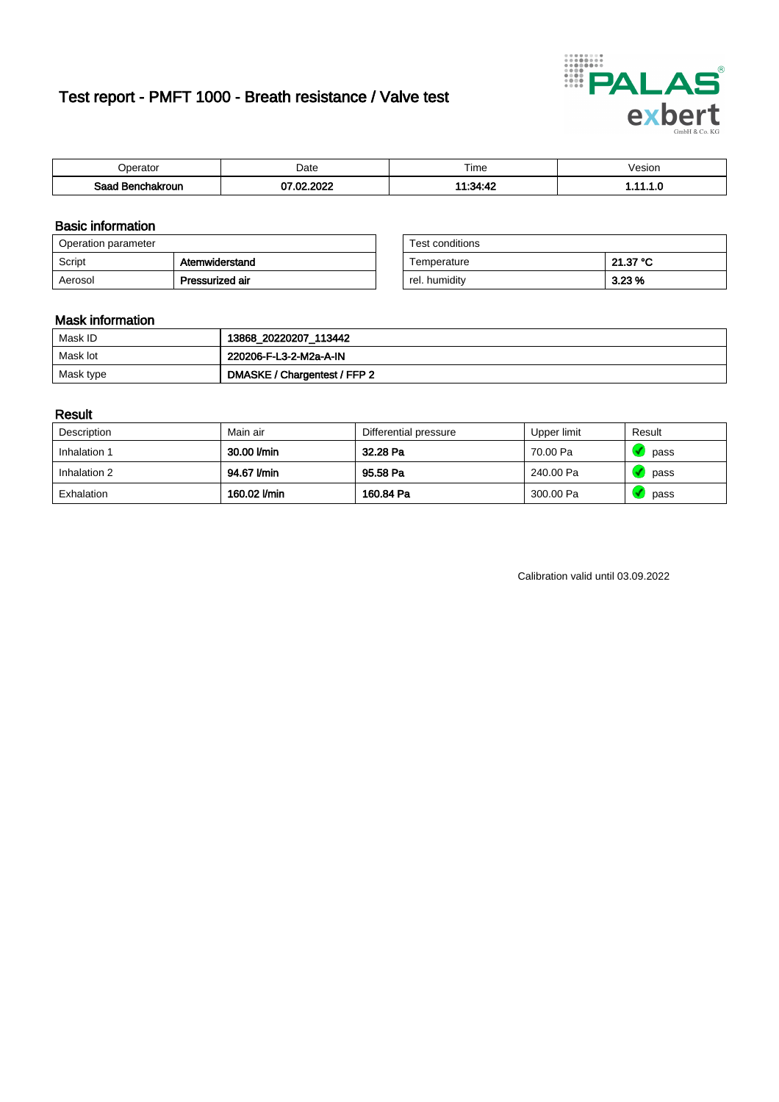# Test report - PMFT 1000 - Breath resistance / Valve test



| 'perator                     | Date               | $- \cdot$<br>Fime | /esion |
|------------------------------|--------------------|-------------------|--------|
| Saad<br><b>chakroun</b><br>. | מחה ו<br>27.2<br>w | 11.21.10          | .      |

### Basic information

| Operation parameter |                 | Test conditions |          |
|---------------------|-----------------|-----------------|----------|
| Script              | Atemwiderstand  | Temperature     | 21.37 °C |
| Aerosol             | Pressurized air | rel. humiditv   | 3.23%    |

| Test conditions |          |
|-----------------|----------|
| Temperature     | 21.37 °C |
| rel. humidity   | 3.23%    |

### Mask information

| Mask ID   | 13868_20220207_113442        |
|-----------|------------------------------|
| Mask lot  | 220206-F-L3-2-M2a-A-IN       |
| Mask type | DMASKE / Chargentest / FFP 2 |

### Result

| Description  | Main air     | Differential pressure | Upper limit | Result |
|--------------|--------------|-----------------------|-------------|--------|
| Inhalation 1 | 30.00 l/min  | 32.28 Pa              | 70.00 Pa    | pass   |
| Inhalation 2 | 94.67 l/min  | 95.58 Pa              | 240.00 Pa   | pass   |
| Exhalation   | 160.02 l/min | 160.84 Pa             | 300.00 Pa   | pass   |

Calibration valid until 03.09.2022